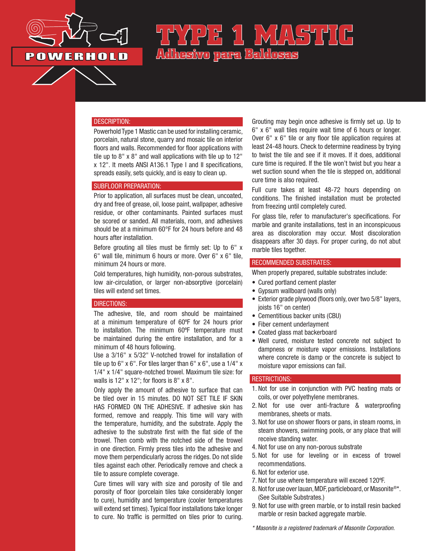

# **TYPE 1 MASTIC Adhesivo para Baldosas**

#### DESCRIPTION:

Powerhold Type 1 Mastic can be used for installing ceramic, porcelain, natural stone, quarry and mosaic tile on interior floors and walls. Recommended for floor applications with tile up to 8" x 8" and wall applications with tile up to 12" x 12". It meets ANSI A136.1 Type I and II specifications, spreads easily, sets quickly, and is easy to clean up.

#### SUBFLOOR PREPARATION:

Prior to application, all surfaces must be clean, uncoated, dry and free of grease, oil, loose paint, wallpaper, adhesive residue, or other contaminants. Painted surfaces must be scored or sanded. All materials, room, and adhesives should be at a minimum 60°F for 24 hours before and 48 hours after installation.

Before grouting all tiles must be firmly set: Up to 6" x 6" wall tile, minimum 6 hours or more. Over 6" x 6" tile, minimum 24 hours or more.

Cold temperatures, high humidity, non-porous substrates, low air-circulation, or larger non-absorptive (porcelain) tiles will extend set times.

#### DIRECTIONS:

The adhesive, tile, and room should be maintained at a minimum temperature of 60ºF for 24 hours prior to installation. The minimum 60ºF temperature must be maintained during the entire installation, and for a minimum of 48 hours following.

Use a 3/16" x 5/32" V-notched trowel for installation of tile up to 6" x 6". For tiles larger than 6" x 6", use a 1/4" x 1/4" x 1/4" square-notched trowel. Maximum tile size: for walls is 12" x 12"; for floors is 8" x 8".

Only apply the amount of adhesive to surface that can be tiled over in 15 minutes. DO NOT SET TILE IF SKIN HAS FORMED ON THE ADHESIVE. If adhesive skin has formed, remove and reapply. This time will vary with the temperature, humidity, and the substrate. Apply the adhesive to the substrate first with the flat side of the trowel. Then comb with the notched side of the trowel in one direction. Firmly press tiles into the adhesive and move them perpendicularly across the ridges. Do not slide tiles against each other. Periodically remove and check a tile to assure complete coverage.

Cure times will vary with size and porosity of tile and porosity of floor (porcelain tiles take considerably longer to cure), humidity and temperature (cooler temperatures will extend set times). Typical floor installations take longer to cure. No traffic is permitted on tiles prior to curing.

Grouting may begin once adhesive is firmly set up. Up to 6" x 6" wall tiles require wait time of 6 hours or longer. Over 6" x 6" tile or any floor tile application requires at least 24-48 hours. Check to determine readiness by trying to twist the tile and see if it moves. If it does, additional cure time is required. If the tile won't twist but you hear a wet suction sound when the tile is stepped on, additional cure time is also required.

Full cure takes at least 48-72 hours depending on conditions. The finished installation must be protected from freezing until completely cured.

For glass tile, refer to manufacturer's specifications. For marble and granite installations, test in an inconspicuous area as discoloration may occur. Most discoloration disappears after 30 days. For proper curing, do not abut marble tiles together.

#### RECOMMENDED SUBSTRATES:

When properly prepared, suitable substrates include:

- Cured portland cement plaster
- Gypsum wallboard (walls only)
- Exterior grade plywood (floors only, over two 5/8" layers, joists 16" on center)
- Cementitious backer units (CBU)
- Fiber cement underlayment
- Coated glass mat backerboard
- Well cured, moisture tested concrete not subject to dampness or moisture vapor emissions. Installations where concrete is damp or the concrete is subject to moisture vapor emissions can fail.

## RESTRICTIONS:

- 1. Not for use in conjunction with PVC heating mats or coils, or over polyethylene membranes.
- 2. Not for use over anti-fracture & waterproofing membranes, sheets or mats.
- 3. Not for use on shower floors or pans, in steam rooms, in steam showers, swimming pools, or any place that will receive standing water.
- 4. Not for use on any non-porous substrate
- 5. Not for use for leveling or in excess of trowel recommendations.
- 6. Not for exterior use.
- 7. Not for use where temperature will exceed 120ºF.
- 8. Not for use over lauan, MDF, particleboard, or Masonite®\*. (See Suitable Substrates.)
- 9. Not for use with green marble, or to install resin backed marble or resin backed aggregate marble.